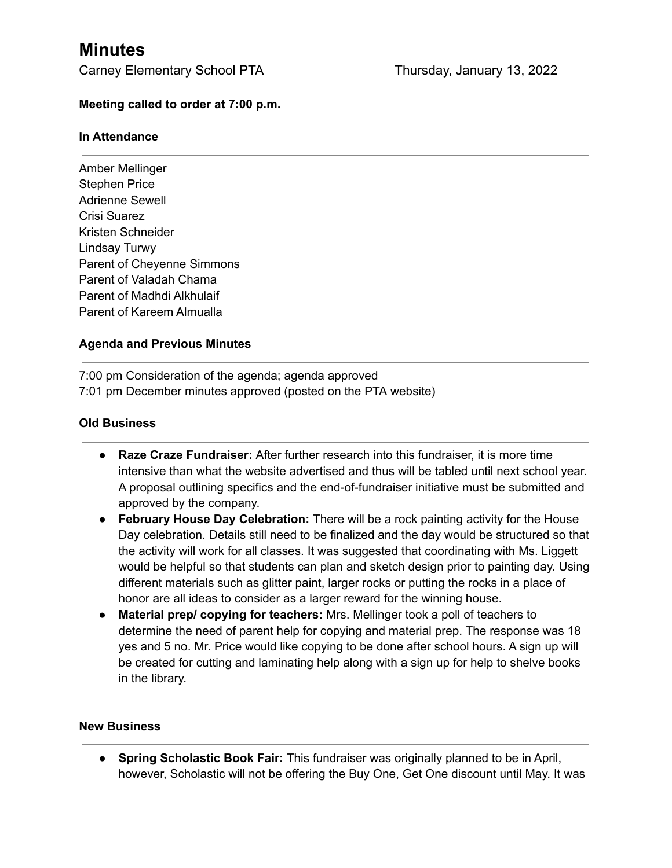# **Minutes**

Carney Elementary School PTA Thursday, January 13, 2022

### **Meeting called to order at 7:00 p.m.**

#### **In Attendance**

Amber Mellinger Stephen Price Adrienne Sewell Crisi Suarez Kristen Schneider Lindsay Turwy Parent of Cheyenne Simmons Parent of Valadah Chama Parent of Madhdi Alkhulaif Parent of Kareem Almualla

## **Agenda and Previous Minutes**

7:00 pm Consideration of the agenda; agenda approved 7:01 pm December minutes approved (posted on the PTA website)

#### **Old Business**

- **● Raze Craze Fundraiser:** After further research into this fundraiser, it is more time intensive than what the website advertised and thus will be tabled until next school year. A proposal outlining specifics and the end-of-fundraiser initiative must be submitted and approved by the company.
- **● February House Day Celebration:** There will be a rock painting activity for the House Day celebration. Details still need to be finalized and the day would be structured so that the activity will work for all classes. It was suggested that coordinating with Ms. Liggett would be helpful so that students can plan and sketch design prior to painting day. Using different materials such as glitter paint, larger rocks or putting the rocks in a place of honor are all ideas to consider as a larger reward for the winning house.
- **● Material prep/ copying for teachers:** Mrs. Mellinger took a poll of teachers to determine the need of parent help for copying and material prep. The response was 18 yes and 5 no. Mr. Price would like copying to be done after school hours. A sign up will be created for cutting and laminating help along with a sign up for help to shelve books in the library.

#### **New Business**

**● Spring Scholastic Book Fair:** This fundraiser was originally planned to be in April, however, Scholastic will not be offering the Buy One, Get One discount until May. It was